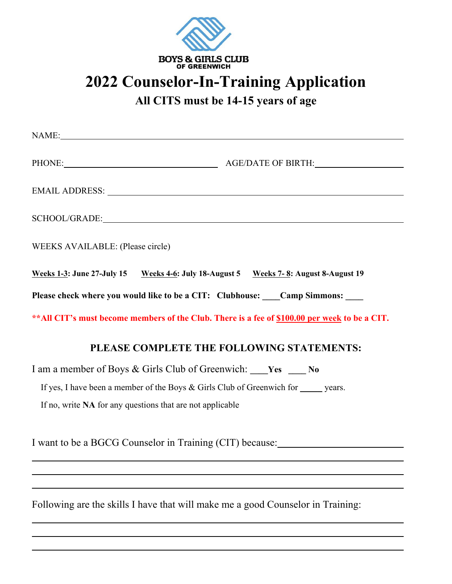

## **2022 Counselor-In-Training Application**

**All CITS must be 14-15 years of age**

|                                                           | NAME:                                                                                          |
|-----------------------------------------------------------|------------------------------------------------------------------------------------------------|
|                                                           | PHONE: AGE/DATE OF BIRTH:                                                                      |
|                                                           |                                                                                                |
|                                                           |                                                                                                |
| WEEKS AVAILABLE: (Please circle)                          |                                                                                                |
|                                                           | Weeks 1-3: June 27-July 15 Weeks 4-6: July 18-August 5 Weeks 7-8: August 8-August 19           |
|                                                           | Please check where you would like to be a CIT: Clubhouse: Camp Simmons:                        |
|                                                           | ** All CIT's must become members of the Club. There is a fee of \$100.00 per week to be a CIT. |
|                                                           | PLEASE COMPLETE THE FOLLOWING STATEMENTS:                                                      |
|                                                           | I am a member of Boys & Girls Club of Greenwich: Ves __ No                                     |
|                                                           | If yes, I have been a member of the Boys & Girls Club of Greenwich for ______ years.           |
| If no, write NA for any questions that are not applicable |                                                                                                |
| I want to be a BGCG Counselor in Training (CIT) because:  |                                                                                                |

Following are the skills I have that will make me a good Counselor in Training: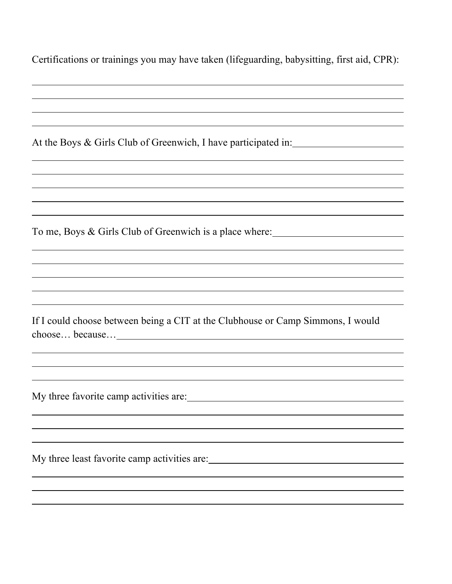| Certifications or trainings you may have taken (lifeguarding, babysitting, first aid, CPR): |  |  |
|---------------------------------------------------------------------------------------------|--|--|
|                                                                                             |  |  |

At the Boys & Girls Club of Greenwich, I have participated in:

To me, Boys & Girls Club of Greenwich is a place where:

If I could choose between being a CIT at the Clubhouse or Camp Simmons, I would choose… because…

My three favorite camp activities are:

My three least favorite camp activities are: